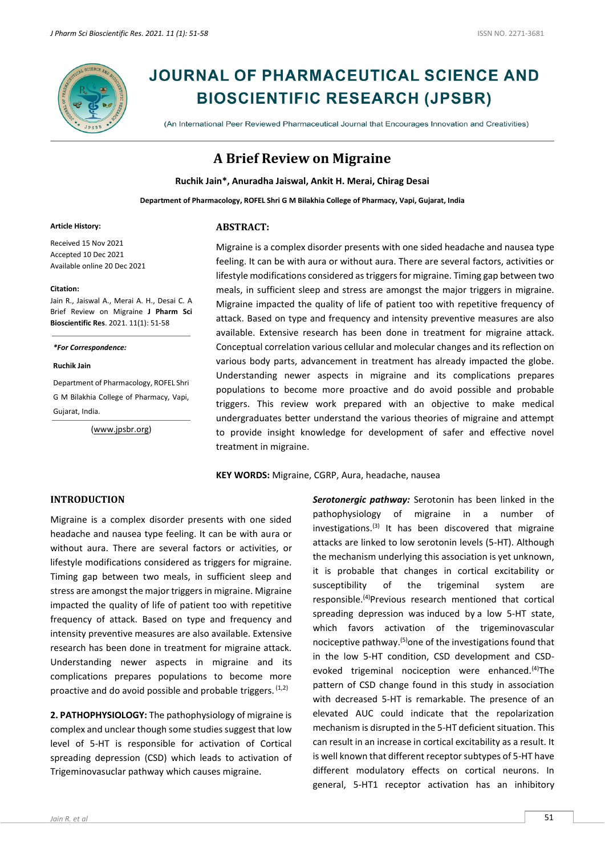

# **JOURNAL OF PHARMACEUTICAL SCIENCE AND BIOSCIENTIFIC RESEARCH (JPSBR)**

(An International Peer Reviewed Pharmaceutical Journal that Encourages Innovation and Creativities)

## **A Brief Review on Migraine**

**Ruchik Jain\*, Anuradha Jaiswal, Ankit H. Merai, Chirag Desai**

**Department of Pharmacology, ROFEL Shri G M Bilakhia College of Pharmacy, Vapi, Gujarat, India**

#### **Article History:**

Received 15 Nov 2021 Accepted 10 Dec 2021 Available online 20 Dec 2021

#### **Citation:**

Jain R., Jaiswal A., Merai A. H., Desai C. A Brief Review on Migraine **J Pharm Sci Bioscientific Res**. 2021. 11(1): 51-58

*\*For Correspondence:*

#### **Ruchik Jain**

Department of Pharmacology, ROFEL Shri G M Bilakhia College of Pharmacy, Vapi, Gujarat, India.

[\(www.jpsbr.org\)](http://www.jpsbr.org/)

#### **ABSTRACT:**

Migraine is a complex disorder presents with one sided headache and nausea type feeling. It can be with aura or without aura. There are several factors, activities or lifestyle modifications considered as triggers for migraine. Timing gap between two meals, in sufficient sleep and stress are amongst the major triggers in migraine. Migraine impacted the quality of life of patient too with repetitive frequency of attack. Based on type and frequency and intensity preventive measures are also available. Extensive research has been done in treatment for migraine attack. Conceptual correlation various cellular and molecular changes and its reflection on various body parts, advancement in treatment has already impacted the globe. Understanding newer aspects in migraine and its complications prepares populations to become more proactive and do avoid possible and probable triggers. This review work prepared with an objective to make medical undergraduates better understand the various theories of migraine and attempt to provide insight knowledge for development of safer and effective novel treatment in migraine.

**KEY WORDS:** Migraine, CGRP, Aura, headache, nausea

## **INTRODUCTION**

Migraine is a complex disorder presents with one sided headache and nausea type feeling. It can be with aura or without aura. There are several factors or activities, or lifestyle modifications considered as triggers for migraine. Timing gap between two meals, in sufficient sleep and stress are amongst the major triggers in migraine. Migraine impacted the quality of life of patient too with repetitive frequency of attack. Based on type and frequency and intensity preventive measures are also available. Extensive research has been done in treatment for migraine attack. Understanding newer aspects in migraine and its complications prepares populations to become more proactive and do avoid possible and probable triggers.  $(1,2)$ 

**2. PATHOPHYSIOLOGY:** The pathophysiology of migraine is complex and unclear though some studies suggest that low level of 5-HT is responsible for activation of Cortical spreading depression (CSD) which leads to activation of Trigeminovasuclar pathway which causes migraine.

*Jain R. et al* 51

*Serotonergic pathway:* Serotonin has been linked in the pathophysiology of migraine in a number of investigations. $(3)$  It has been discovered that migraine attacks are linked to low serotonin levels (5-HT). Although the mechanism underlying this association is yet unknown, it is probable that changes in cortical excitability or susceptibility of the trigeminal system are responsible.(4)Previous research mentioned that cortical spreading depression was induced by a low 5-HT state, which favors activation of the trigeminovascular nociceptive pathway.<sup>(5)</sup>one of the investigations found that in the low 5-HT condition, CSD development and CSDevoked trigeminal nociception were enhanced.<sup>(4)</sup>The pattern of CSD change found in this study in association with decreased 5-HT is remarkable. The presence of an elevated AUC could indicate that the repolarization mechanism is disrupted in the 5-HT deficient situation. This can result in an increase in cortical excitability as a result. It is well known that different receptor subtypes of 5-HT have different modulatory effects on cortical neurons. In general, 5-HT1 receptor activation has an inhibitory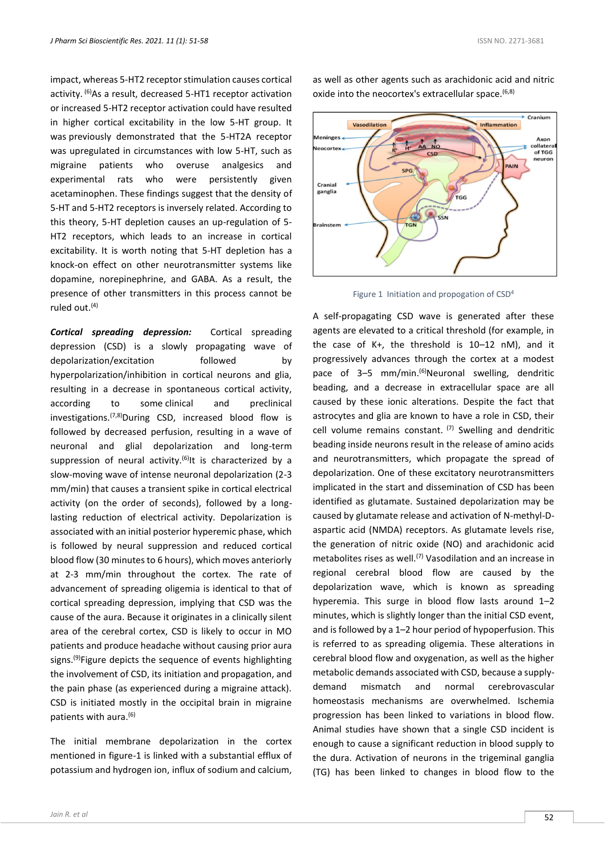impact, whereas 5-HT2 receptor stimulation causes cortical activity. <sup>(6)</sup>As a result, decreased 5-HT1 receptor activation or increased 5-HT2 receptor activation could have resulted in higher cortical excitability in the low 5-HT group. It was previously demonstrated that the 5-HT2A receptor was upregulated in circumstances with low 5-HT, such as migraine patients who overuse analgesics and experimental rats who were persistently given acetaminophen. These findings suggest that the density of 5-HT and 5-HT2 receptors is inversely related. According to this theory, 5-HT depletion causes an up-regulation of 5- HT2 receptors, which leads to an increase in cortical excitability. It is worth noting that 5-HT depletion has a knock-on effect on other neurotransmitter systems like dopamine, norepinephrine, and GABA. As a result, the presence of other transmitters in this process cannot be ruled out. $(4)$ 

*Cortical spreading depression:* Cortical spreading depression (CSD) is a slowly propagating wave of depolarization/excitation followed by hyperpolarization/inhibition in cortical neurons and glia, resulting in a decrease in spontaneous cortical activity, according to some clinical and preclinical investigations.(7,8)During CSD, increased blood flow is followed by decreased perfusion, resulting in a wave of neuronal and glial depolarization and long-term suppression of neural activity.<sup>(6)</sup>It is characterized by a slow-moving wave of intense neuronal depolarization (2-3 mm/min) that causes a transient spike in cortical electrical activity (on the order of seconds), followed by a longlasting reduction of electrical activity. Depolarization is associated with an initial posterior hyperemic phase, which is followed by neural suppression and reduced cortical blood flow (30 minutes to 6 hours), which moves anteriorly at 2-3 mm/min throughout the cortex. The rate of advancement of spreading oligemia is identical to that of cortical spreading depression, implying that CSD was the cause of the aura. Because it originates in a clinically silent area of the cerebral cortex, CSD is likely to occur in MO patients and produce headache without causing prior aura signs.<sup>(9)</sup>Figure depicts the sequence of events highlighting the involvement of CSD, its initiation and propagation, and the pain phase (as experienced during a migraine attack). CSD is initiated mostly in the occipital brain in migraine patients with aura.<sup>(6)</sup>

The initial membrane depolarization in the cortex mentioned in figure-1 is linked with a substantial efflux of potassium and hydrogen ion, influx of sodium and calcium,

as well as other agents such as arachidonic acid and nitric oxide into the neocortex's extracellular space. (6,8)



Figure 1 Initiation and propogation of CSD<sup>4</sup>

A self-propagating CSD wave is generated after these agents are elevated to a critical threshold (for example, in the case of K+, the threshold is 10–12 nM), and it progressively advances through the cortex at a modest pace of 3–5 mm/min.<sup>(6)</sup>Neuronal swelling, dendritic beading, and a decrease in extracellular space are all caused by these ionic alterations. Despite the fact that astrocytes and glia are known to have a role in CSD, their cell volume remains constant.  $(7)$  Swelling and dendritic beading inside neurons result in the release of amino acids and neurotransmitters, which propagate the spread of depolarization. One of these excitatory neurotransmitters implicated in the start and dissemination of CSD has been identified as glutamate. Sustained depolarization may be caused by glutamate release and activation of N-methyl-Daspartic acid (NMDA) receptors. As glutamate levels rise, the generation of nitric oxide (NO) and arachidonic acid metabolites rises as well.<sup>(7)</sup> Vasodilation and an increase in regional cerebral blood flow are caused by the depolarization wave, which is known as spreading hyperemia. This surge in blood flow lasts around 1–2 minutes, which is slightly longer than the initial CSD event, and is followed by a 1–2 hour period of hypoperfusion. This is referred to as spreading oligemia. These alterations in cerebral blood flow and oxygenation, as well as the higher metabolic demands associated with CSD, because a supplydemand mismatch and normal cerebrovascular homeostasis mechanisms are overwhelmed. Ischemia progression has been linked to variations in blood flow. Animal studies have shown that a single CSD incident is enough to cause a significant reduction in blood supply to the dura. Activation of neurons in the trigeminal ganglia (TG) has been linked to changes in blood flow to the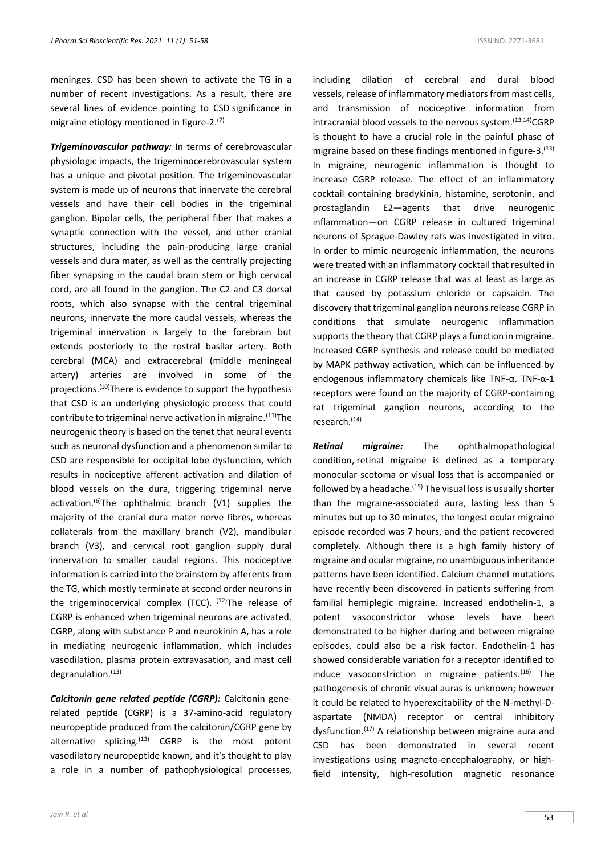meninges. CSD has been shown to activate the TG in a number of recent investigations. As a result, there are several lines of evidence pointing to CSD significance in migraine etiology mentioned in figure-2.<sup>(7)</sup>

*Trigeminovascular pathway:* In terms of cerebrovascular physiologic impacts, the trigeminocerebrovascular system has a unique and pivotal position. The trigeminovascular system is made up of neurons that innervate the cerebral vessels and have their cell bodies in the trigeminal ganglion. Bipolar cells, the peripheral fiber that makes a synaptic connection with the vessel, and other cranial structures, including the pain-producing large cranial vessels and dura mater, as well as the centrally projecting fiber synapsing in the caudal brain stem or high cervical cord, are all found in the ganglion. The C2 and C3 dorsal roots, which also synapse with the central trigeminal neurons, innervate the more caudal vessels, whereas the trigeminal innervation is largely to the forebrain but extends posteriorly to the rostral basilar artery. Both cerebral (MCA) and extracerebral (middle meningeal artery) arteries are involved in some of the projections.(10)There is evidence to support the hypothesis that CSD is an underlying physiologic process that could contribute to trigeminal nerve activation in migraine.  $(11)$ The neurogenic theory is based on the tenet that neural events such as neuronal dysfunction and a phenomenon similar to CSD are responsible for occipital lobe dysfunction, which results in nociceptive afferent activation and dilation of blood vessels on the dura, triggering trigeminal nerve activation.<sup>(6)</sup>The ophthalmic branch  $(V1)$  supplies the majority of the cranial dura mater nerve fibres, whereas collaterals from the maxillary branch (V2), mandibular branch (V3), and cervical root ganglion supply dural innervation to smaller caudal regions. This nociceptive information is carried into the brainstem by afferents from the TG, which mostly terminate at second order neurons in the trigeminocervical complex (TCC).  $(12)$ The release of CGRP is enhanced when trigeminal neurons are activated. CGRP, along with substance P and neurokinin A, has a role in mediating neurogenic inflammation, which includes vasodilation, plasma protein extravasation, and mast cell degranulation.<sup>(13)</sup>

*Calcitonin gene related peptide (CGRP):* Calcitonin generelated peptide (CGRP) is a 37-amino-acid regulatory neuropeptide produced from the calcitonin/CGRP gene by alternative splicing. $(13)$  CGRP is the most potent vasodilatory neuropeptide known, and it's thought to play a role in a number of pathophysiological processes,

including dilation of cerebral and dural blood vessels, release of inflammatory mediators from mast cells, and transmission of nociceptive information from intracranial blood vessels to the nervous system.<sup>(13,14)</sup>CGRP is thought to have a crucial role in the painful phase of migraine based on these findings mentioned in figure-3.<sup>(13)</sup> In migraine, neurogenic inflammation is thought to increase CGRP release. The effect of an inflammatory cocktail containing bradykinin, histamine, serotonin, and prostaglandin E2—agents that drive neurogenic inflammation—on CGRP release in cultured trigeminal neurons of Sprague-Dawley rats was investigated in vitro. In order to mimic neurogenic inflammation, the neurons were treated with an inflammatory cocktail that resulted in an increase in CGRP release that was at least as large as that caused by potassium chloride or capsaicin. The discovery that trigeminal ganglion neurons release CGRP in conditions that simulate neurogenic inflammation supports the theory that CGRP plays a function in migraine. Increased CGRP synthesis and release could be mediated by MAPK pathway activation, which can be influenced by endogenous inflammatory chemicals like TNF-α. TNF-α-1 receptors were found on the majority of CGRP-containing rat trigeminal ganglion neurons, according to the research.(14)

*Retinal migraine:* The ophthalmopathological condition, retinal migraine is defined as a temporary monocular scotoma or visual loss that is accompanied or followed by a headache. $(15)$  The visual loss is usually shorter than the migraine-associated aura, lasting less than 5 minutes but up to 30 minutes, the longest ocular migraine episode recorded was 7 hours, and the patient recovered completely. Although there is a high family history of migraine and ocular migraine, no unambiguous inheritance patterns have been identified. Calcium channel mutations have recently been discovered in patients suffering from familial hemiplegic migraine. Increased endothelin-1, a potent vasoconstrictor whose levels have been demonstrated to be higher during and between migraine episodes, could also be a risk factor. Endothelin-1 has showed considerable variation for a receptor identified to induce vasoconstriction in migraine patients. $(16)$  The pathogenesis of chronic visual auras is unknown; however it could be related to hyperexcitability of the N-methyl-Daspartate (NMDA) receptor or central inhibitory dysfunction.(17) A relationship between migraine aura and CSD has been demonstrated in several recent investigations using magneto-encephalography, or highfield intensity, high-resolution magnetic resonance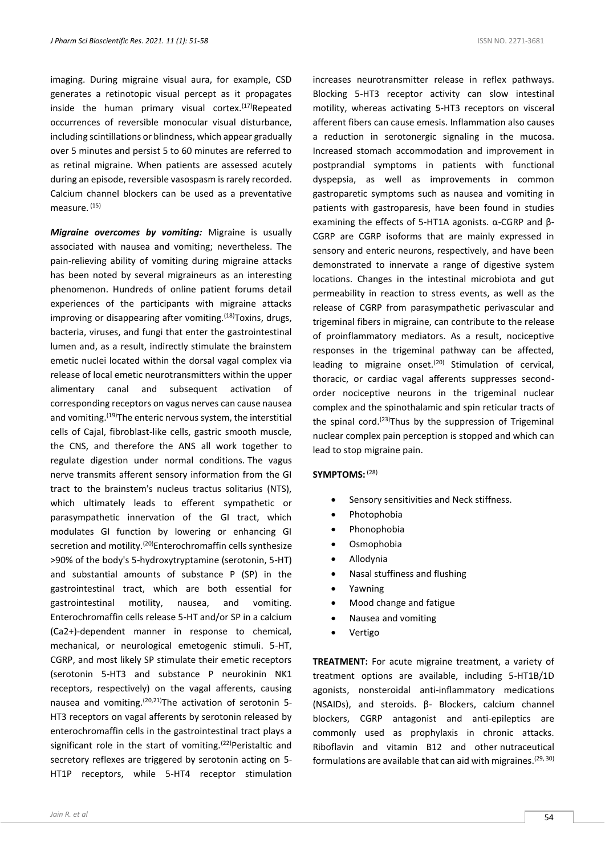imaging. During migraine visual aura, for example, CSD generates a retinotopic visual percept as it propagates inside the human primary visual cortex. $(17)$ Repeated occurrences of reversible monocular visual disturbance, including scintillations or blindness, which appear gradually over 5 minutes and persist 5 to 60 minutes are referred to as retinal migraine. When patients are assessed acutely during an episode, reversible vasospasm is rarely recorded. Calcium channel blockers can be used as a preventative measure. (15)

*Migraine overcomes by vomiting:* Migraine is usually associated with nausea and vomiting; nevertheless. The pain-relieving ability of vomiting during migraine attacks has been noted by several migraineurs as an interesting phenomenon. Hundreds of online patient forums detail experiences of the participants with migraine attacks improving or disappearing after vomiting.<sup>(18)</sup>Toxins, drugs, bacteria, viruses, and fungi that enter the gastrointestinal lumen and, as a result, indirectly stimulate the brainstem emetic nuclei located within the dorsal vagal complex via release of local emetic neurotransmitters within the upper alimentary canal and subsequent activation of corresponding receptors on vagus nerves can cause nausea and vomiting.<sup>(19)</sup>The enteric nervous system, the interstitial cells of Cajal, fibroblast-like cells, gastric smooth muscle, the CNS, and therefore the ANS all work together to regulate digestion under normal conditions. The vagus nerve transmits afferent sensory information from the GI tract to the brainstem's nucleus tractus solitarius (NTS), which ultimately leads to efferent sympathetic or parasympathetic innervation of the GI tract, which modulates GI function by lowering or enhancing GI secretion and motility.<sup>(20)</sup>Enterochromaffin cells synthesize >90% of the body's 5-hydroxytryptamine (serotonin, 5-HT) and substantial amounts of substance P (SP) in the gastrointestinal tract, which are both essential for gastrointestinal motility, nausea, and vomiting. Enterochromaffin cells release 5-HT and/or SP in a calcium (Ca2+)-dependent manner in response to chemical, mechanical, or neurological emetogenic stimuli. 5-HT, CGRP, and most likely SP stimulate their emetic receptors (serotonin 5-HT3 and substance P neurokinin NK1 receptors, respectively) on the vagal afferents, causing nausea and vomiting.<sup>(20,21)</sup>The activation of serotonin 5-HT3 receptors on vagal afferents by serotonin released by enterochromaffin cells in the gastrointestinal tract plays a significant role in the start of vomiting.<sup>(22)</sup>Peristaltic and secretory reflexes are triggered by serotonin acting on 5- HT1P receptors, while 5-HT4 receptor stimulation

increases neurotransmitter release in reflex pathways. Blocking 5-HT3 receptor activity can slow intestinal motility, whereas activating 5-HT3 receptors on visceral afferent fibers can cause emesis. Inflammation also causes a reduction in serotonergic signaling in the mucosa. Increased stomach accommodation and improvement in postprandial symptoms in patients with functional dyspepsia, as well as improvements in common gastroparetic symptoms such as nausea and vomiting in patients with gastroparesis, have been found in studies examining the effects of 5-HT1A agonists. α-CGRP and β-CGRP are CGRP isoforms that are mainly expressed in sensory and enteric neurons, respectively, and have been demonstrated to innervate a range of digestive system locations. Changes in the intestinal microbiota and gut permeability in reaction to stress events, as well as the release of CGRP from parasympathetic perivascular and trigeminal fibers in migraine, can contribute to the release of proinflammatory mediators. As a result, nociceptive responses in the trigeminal pathway can be affected, leading to migraine onset.<sup>(20)</sup> Stimulation of cervical, thoracic, or cardiac vagal afferents suppresses secondorder nociceptive neurons in the trigeminal nuclear complex and the spinothalamic and spin reticular tracts of the spinal cord.<sup>(23)</sup>Thus by the suppression of Trigeminal nuclear complex pain perception is stopped and which can lead to stop migraine pain.

## **SYMPTOMS:** (28)

- Sensory sensitivities and Neck stiffness.
- Photophobia
- Phonophobia
- Osmophobia
- Allodynia
- Nasal stuffiness and flushing
- Yawning
- Mood change and fatigue
- Nausea and vomiting
- Vertigo

**TREATMENT:** For acute migraine treatment, a variety of treatment options are available, including 5-HT1B/1D agonists, nonsteroidal anti-inflammatory medications (NSAIDs), and steroids. β- Blockers, calcium channel blockers, CGRP antagonist and anti-epileptics are commonly used as prophylaxis in chronic attacks. Riboflavin and vitamin B12 and other nutraceutical formulations are available that can aid with migraines.<sup>(29, 30)</sup>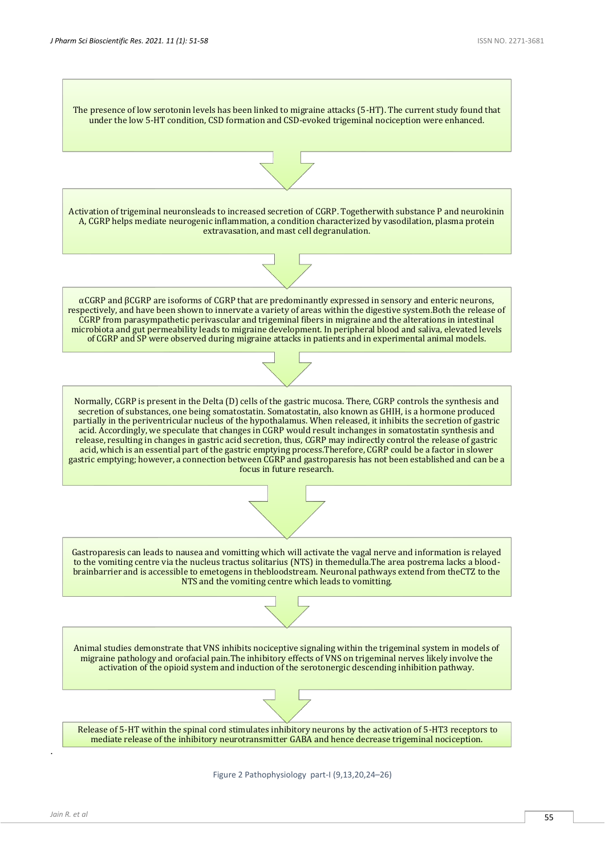

Figure 2 Pathophysiology part-I (9,13,20,24–26)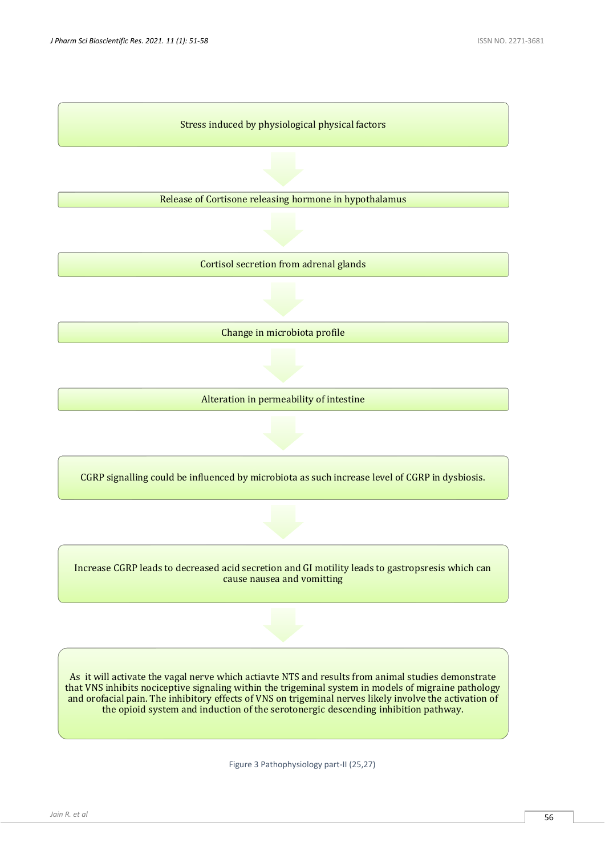

Release of Cortisone releasing hormone in hypothalamus

Cortisol secretion from adrenal glands

Change in microbiota profile

Alteration in permeability of intestine

CGRP signalling could be influenced by microbiota as such increase level of CGRP in dysbiosis.

Increase CGRP leads to decreased acid secretion and GI motility leads to gastropsresis which can cause nausea and vomitting

As it will activate the vagal nerve which actiavte NTS and results from animal studies demonstrate that VNS inhibits nociceptive signaling within the trigeminal system in models of migraine pathology and orofacial pain. The inhibitory effects of VNS on trigeminal nerves likely involve the activation of the opioid system and induction of the serotonergic descending inhibition pathway.

Figure 3 Pathophysiology part-II (25,27)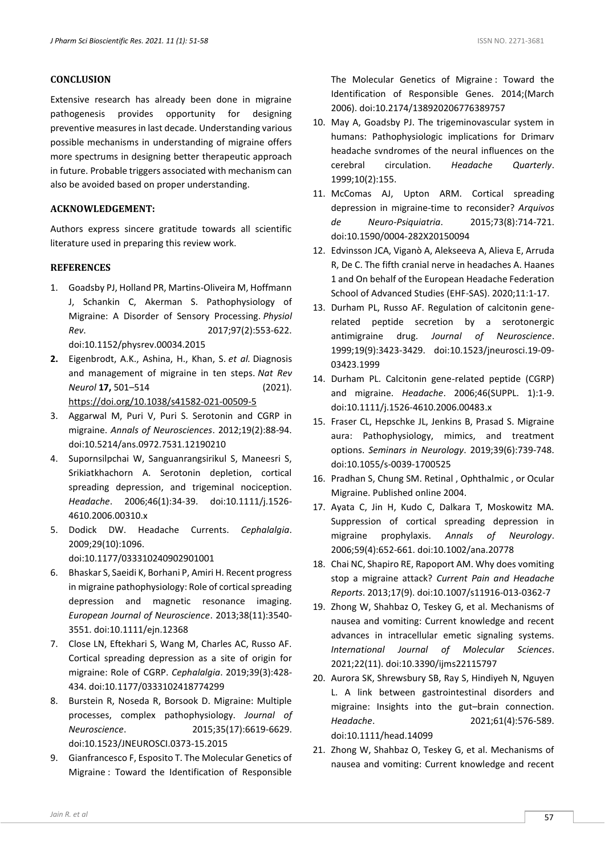## **CONCLUSION**

Extensive research has already been done in migraine pathogenesis provides opportunity for designing preventive measures in last decade. Understanding various possible mechanisms in understanding of migraine offers more spectrums in designing better therapeutic approach in future. Probable triggers associated with mechanism can also be avoided based on proper understanding.

## **ACKNOWLEDGEMENT:**

Authors express sincere gratitude towards all scientific literature used in preparing this review work.

### **REFERENCES**

- 1. Goadsby PJ, Holland PR, Martins-Oliveira M, Hoffmann J, Schankin C, Akerman S. Pathophysiology of Migraine: A Disorder of Sensory Processing. *Physiol Rev*. 2017;97(2):553-622. doi:10.1152/physrev.00034.2015
- **2.** Eigenbrodt, A.K., Ashina, H., Khan, S. *et al.* Diagnosis and management of migraine in ten steps. *Nat Rev Neurol* **17,** 501–514 (2021). <https://doi.org/10.1038/s41582-021-00509-5>
- 3. Aggarwal M, Puri V, Puri S. Serotonin and CGRP in migraine. *Annals of Neurosciences*. 2012;19(2):88-94. doi:10.5214/ans.0972.7531.12190210
- 4. Supornsilpchai W, Sanguanrangsirikul S, Maneesri S, Srikiatkhachorn A. Serotonin depletion, cortical spreading depression, and trigeminal nociception. *Headache*. 2006;46(1):34-39. doi:10.1111/j.1526- 4610.2006.00310.x
- 5. Dodick DW. Headache Currents. *Cephalalgia*. 2009;29(10):1096.

doi:10.1177/033310240902901001

- 6. Bhaskar S, Saeidi K, Borhani P, Amiri H. Recent progress in migraine pathophysiology: Role of cortical spreading depression and magnetic resonance imaging. *European Journal of Neuroscience*. 2013;38(11):3540- 3551. doi:10.1111/ejn.12368
- 7. Close LN, Eftekhari S, Wang M, Charles AC, Russo AF. Cortical spreading depression as a site of origin for migraine: Role of CGRP. *Cephalalgia*. 2019;39(3):428- 434. doi:10.1177/0333102418774299
- 8. Burstein R, Noseda R, Borsook D. Migraine: Multiple processes, complex pathophysiology. *Journal of Neuroscience*. 2015;35(17):6619-6629. doi:10.1523/JNEUROSCI.0373-15.2015
- 9. Gianfrancesco F, Esposito T. The Molecular Genetics of Migraine : Toward the Identification of Responsible

The Molecular Genetics of Migraine : Toward the Identification of Responsible Genes. 2014;(March 2006). doi:10.2174/138920206776389757

- 10. May A, Goadsby PJ. The trigeminovascular system in humans: Pathophysiologic implications for Drimarv headache svndromes of the neural influences on the cerebral circulation. *Headache Quarterly*. 1999;10(2):155.
- 11. McComas AJ, Upton ARM. Cortical spreading depression in migraine-time to reconsider? *Arquivos de Neuro-Psiquiatria*. 2015;73(8):714-721. doi:10.1590/0004-282X20150094
- 12. Edvinsson JCA, Viganò A, Alekseeva A, Alieva E, Arruda R, De C. The fifth cranial nerve in headaches A. Haanes 1 and On behalf of the European Headache Federation School of Advanced Studies (EHF-SAS). 2020;11:1-17.
- 13. Durham PL, Russo AF. Regulation of calcitonin generelated peptide secretion by a serotonergic antimigraine drug. *Journal of Neuroscience*. 1999;19(9):3423-3429. doi:10.1523/jneurosci.19-09- 03423.1999
- 14. Durham PL. Calcitonin gene-related peptide (CGRP) and migraine. *Headache*. 2006;46(SUPPL. 1):1-9. doi:10.1111/j.1526-4610.2006.00483.x
- 15. Fraser CL, Hepschke JL, Jenkins B, Prasad S. Migraine aura: Pathophysiology, mimics, and treatment options. *Seminars in Neurology*. 2019;39(6):739-748. doi:10.1055/s-0039-1700525
- 16. Pradhan S, Chung SM. Retinal , Ophthalmic , or Ocular Migraine. Published online 2004.
- 17. Ayata C, Jin H, Kudo C, Dalkara T, Moskowitz MA. Suppression of cortical spreading depression in migraine prophylaxis. *Annals of Neurology*. 2006;59(4):652-661. doi:10.1002/ana.20778
- 18. Chai NC, Shapiro RE, Rapoport AM. Why does vomiting stop a migraine attack? *Current Pain and Headache Reports*. 2013;17(9). doi:10.1007/s11916-013-0362-7
- 19. Zhong W, Shahbaz O, Teskey G, et al. Mechanisms of nausea and vomiting: Current knowledge and recent advances in intracellular emetic signaling systems. *International Journal of Molecular Sciences*. 2021;22(11). doi:10.3390/ijms22115797
- 20. Aurora SK, Shrewsbury SB, Ray S, Hindiyeh N, Nguyen L. A link between gastrointestinal disorders and migraine: Insights into the gut–brain connection. *Headache*. 2021;61(4):576-589. doi:10.1111/head.14099
- 21. Zhong W, Shahbaz O, Teskey G, et al. Mechanisms of nausea and vomiting: Current knowledge and recent